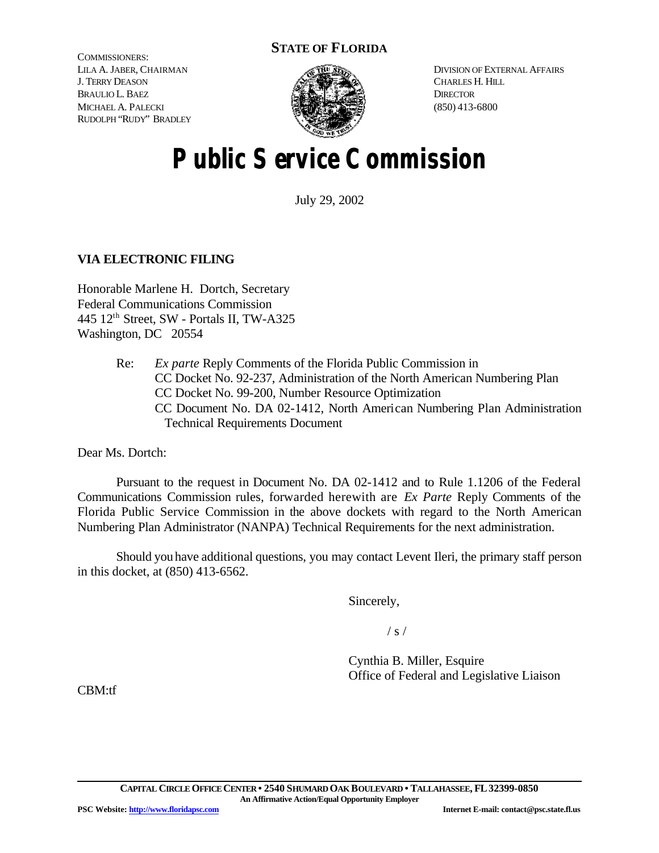# **STATE OF FLORIDA**

COMMISSIONERS: LILA A. JABER, CHAIRMAN J. TERRY DEASON BRAULIO L. BAEZ MICHAEL A. PALECKI RUDOLPH "RUDY" BRADLEY



DIVISION OF EXTERNAL AFFAIRS CHARLES H. HILL **DIRECTOR** (850) 413-6800

# **Public Service Commission**

July 29, 2002

## **VIA ELECTRONIC FILING**

Honorable Marlene H. Dortch, Secretary Federal Communications Commission 445 12th Street, SW - Portals II, TW-A325 Washington, DC 20554

> Re: *Ex parte* Reply Comments of the Florida Public Commission in CC Docket No. 92-237, Administration of the North American Numbering Plan CC Docket No. 99-200, Number Resource Optimization CC Document No. DA 02-1412, North American Numbering Plan Administration Technical Requirements Document

Dear Ms. Dortch:

Pursuant to the request in Document No. DA 02-1412 and to Rule 1.1206 of the Federal Communications Commission rules, forwarded herewith are *Ex Parte* Reply Comments of the Florida Public Service Commission in the above dockets with regard to the North American Numbering Plan Administrator (NANPA) Technical Requirements for the next administration.

Should you have additional questions, you may contact Levent Ileri, the primary staff person in this docket, at (850) 413-6562.

Sincerely,

 $/ s /$ 

Cynthia B. Miller, Esquire Office of Federal and Legislative Liaison

CBM:tf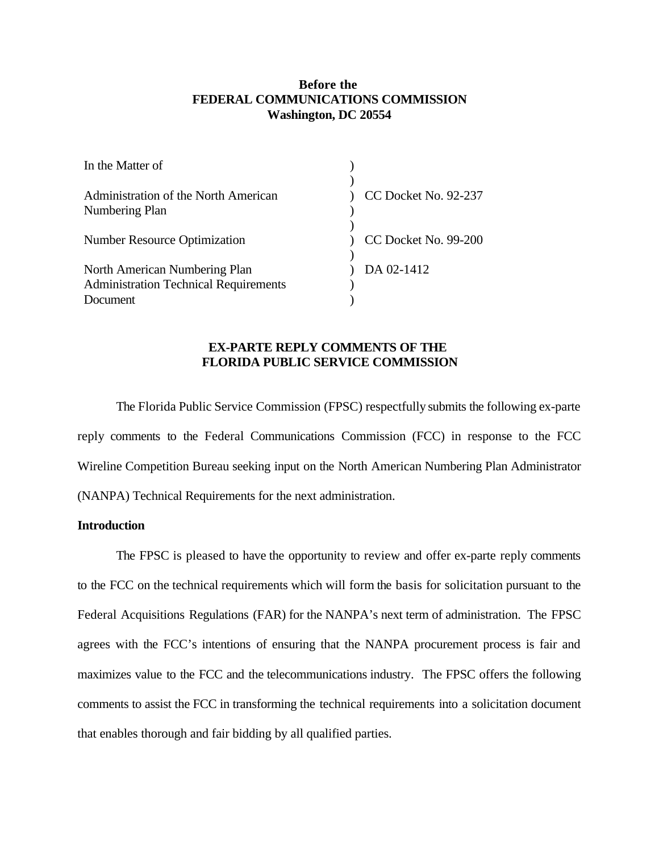### **Before the FEDERAL COMMUNICATIONS COMMISSION Washington, DC 20554**

| In the Matter of                             |                      |
|----------------------------------------------|----------------------|
|                                              |                      |
| Administration of the North American         | CC Docket No. 92-237 |
| Numbering Plan                               |                      |
|                                              |                      |
| <b>Number Resource Optimization</b>          | CC Docket No. 99-200 |
|                                              |                      |
| North American Numbering Plan                | DA 02-1412           |
| <b>Administration Technical Requirements</b> |                      |
| Document                                     |                      |

## **EX-PARTE REPLY COMMENTS OF THE FLORIDA PUBLIC SERVICE COMMISSION**

The Florida Public Service Commission (FPSC) respectfully submits the following ex-parte reply comments to the Federal Communications Commission (FCC) in response to the FCC Wireline Competition Bureau seeking input on the North American Numbering Plan Administrator (NANPA) Technical Requirements for the next administration.

#### **Introduction**

The FPSC is pleased to have the opportunity to review and offer ex-parte reply comments to the FCC on the technical requirements which will form the basis for solicitation pursuant to the Federal Acquisitions Regulations (FAR) for the NANPA's next term of administration. The FPSC agrees with the FCC's intentions of ensuring that the NANPA procurement process is fair and maximizes value to the FCC and the telecommunications industry. The FPSC offers the following comments to assist the FCC in transforming the technical requirements into a solicitation document that enables thorough and fair bidding by all qualified parties.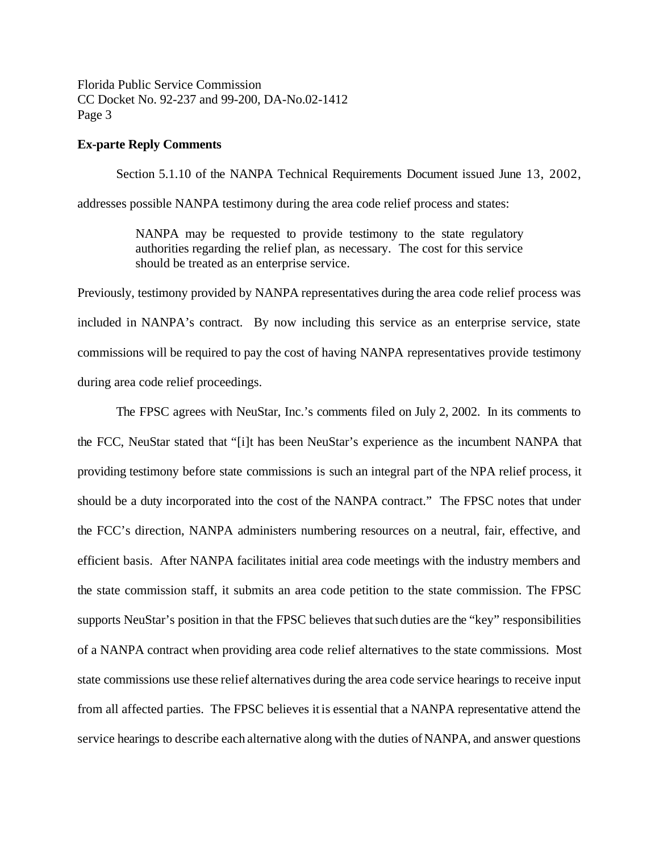Florida Public Service Commission CC Docket No. 92-237 and 99-200, DA-No.02-1412 Page 3

#### **Ex-parte Reply Comments**

Section 5.1.10 of the NANPA Technical Requirements Document issued June 13, 2002,

addresses possible NANPA testimony during the area code relief process and states:

NANPA may be requested to provide testimony to the state regulatory authorities regarding the relief plan, as necessary. The cost for this service should be treated as an enterprise service.

Previously, testimony provided by NANPA representatives during the area code relief process was included in NANPA's contract. By now including this service as an enterprise service, state commissions will be required to pay the cost of having NANPA representatives provide testimony during area code relief proceedings.

The FPSC agrees with NeuStar, Inc.'s comments filed on July 2, 2002. In its comments to the FCC, NeuStar stated that "[i]t has been NeuStar's experience as the incumbent NANPA that providing testimony before state commissions is such an integral part of the NPA relief process, it should be a duty incorporated into the cost of the NANPA contract." The FPSC notes that under the FCC's direction, NANPA administers numbering resources on a neutral, fair, effective, and efficient basis. After NANPA facilitates initial area code meetings with the industry members and the state commission staff, it submits an area code petition to the state commission. The FPSC supports NeuStar's position in that the FPSC believes thatsuch duties are the "key" responsibilities of a NANPA contract when providing area code relief alternatives to the state commissions. Most state commissions use these relief alternatives during the area code service hearings to receive input from all affected parties. The FPSC believes it is essential that a NANPA representative attend the service hearings to describe each alternative along with the duties ofNANPA, and answer questions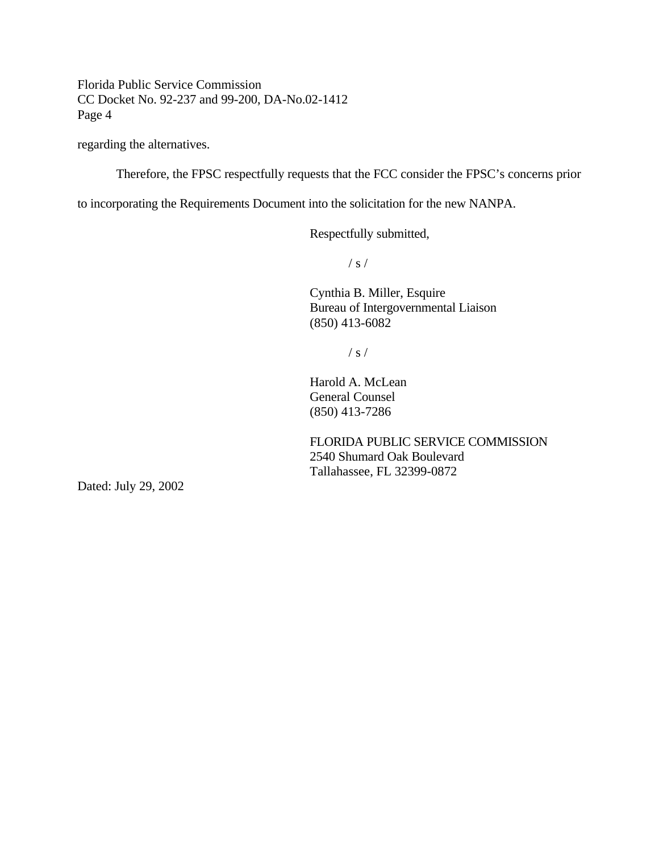Florida Public Service Commission CC Docket No. 92-237 and 99-200, DA-No.02-1412 Page 4

regarding the alternatives.

Therefore, the FPSC respectfully requests that the FCC consider the FPSC's concerns prior

to incorporating the Requirements Document into the solicitation for the new NANPA.

Respectfully submitted,

 $/ s /$ 

Cynthia B. Miller, Esquire Bureau of Intergovernmental Liaison (850) 413-6082

 $/ s /$ 

Harold A. McLean General Counsel (850) 413-7286

FLORIDA PUBLIC SERVICE COMMISSION 2540 Shumard Oak Boulevard Tallahassee, FL 32399-0872

Dated: July 29, 2002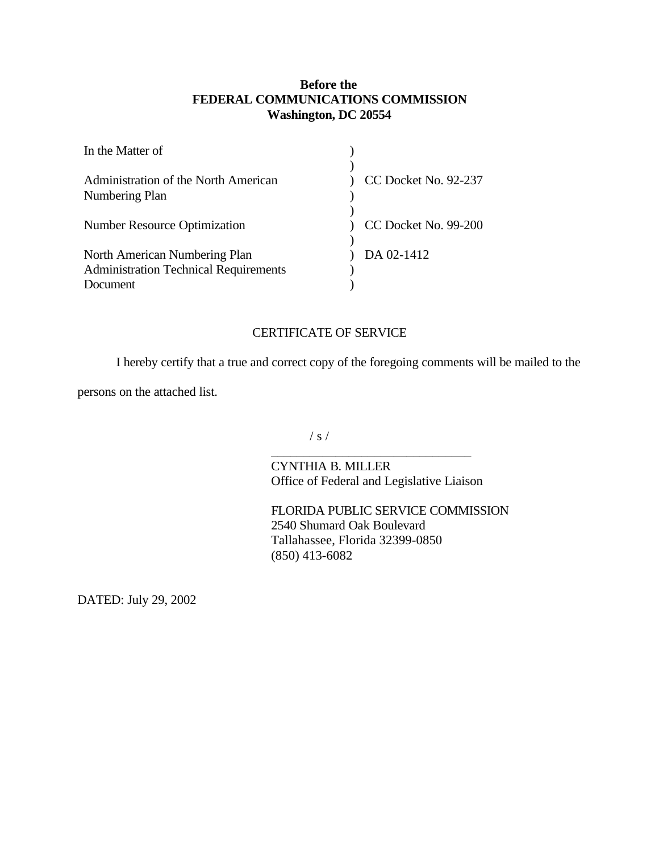# **Before the FEDERAL COMMUNICATIONS COMMISSION Washington, DC 20554**

| In the Matter of                                       |                      |
|--------------------------------------------------------|----------------------|
| Administration of the North American<br>Numbering Plan | CC Docket No. 92-237 |
| <b>Number Resource Optimization</b>                    | CC Docket No. 99-200 |
|                                                        |                      |
| North American Numbering Plan                          | DA 02-1412           |
| <b>Administration Technical Requirements</b>           |                      |
| Document                                               |                      |

## CERTIFICATE OF SERVICE

I hereby certify that a true and correct copy of the foregoing comments will be mailed to the

persons on the attached list.

/ s /

CYNTHIA B. MILLER Office of Federal and Legislative Liaison

\_\_\_\_\_\_\_\_\_\_\_\_\_\_\_\_\_\_\_\_\_\_\_\_\_\_\_\_\_\_\_

FLORIDA PUBLIC SERVICE COMMISSION 2540 Shumard Oak Boulevard Tallahassee, Florida 32399-0850 (850) 413-6082

DATED: July 29, 2002